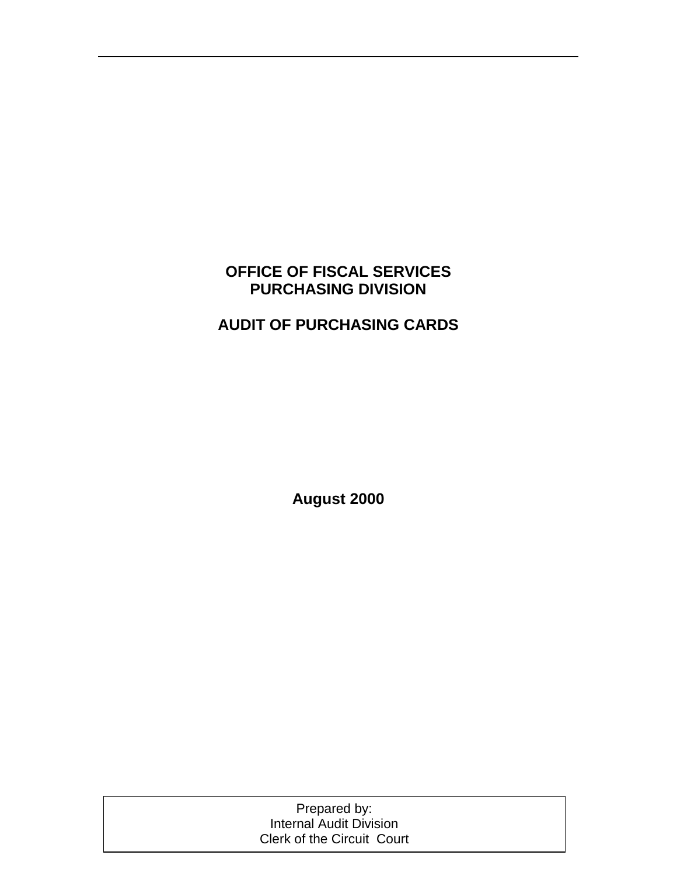# **OFFICE OF FISCAL SERVICES PURCHASING DIVISION**

# **AUDIT OF PURCHASING CARDS**

**August 2000** 

| Prepared by:                      |  |
|-----------------------------------|--|
| <b>Internal Audit Division</b>    |  |
| <b>Clerk of the Circuit Court</b> |  |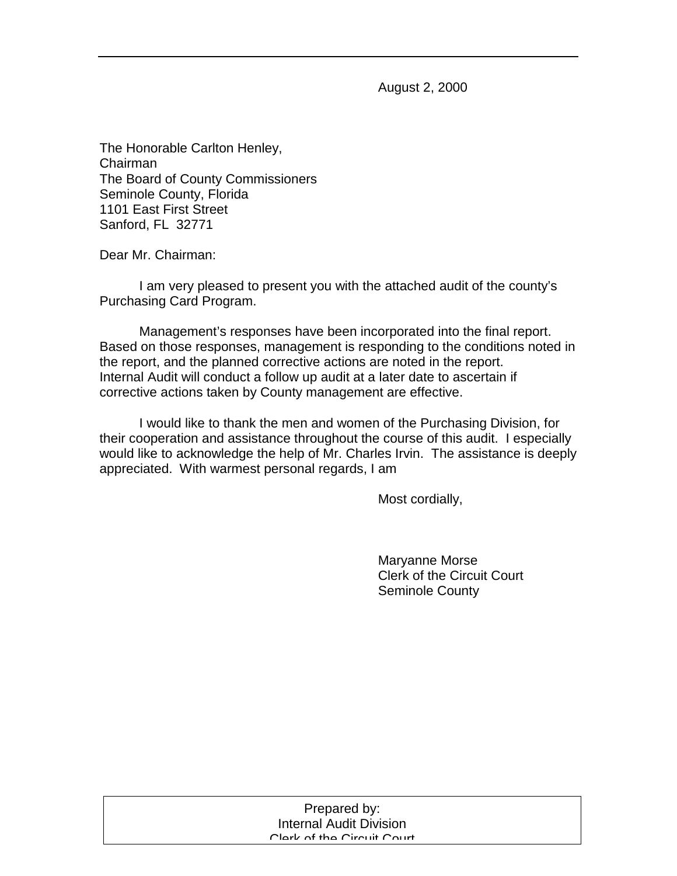August 2, 2000

The Honorable Carlton Henley, Chairman The Board of County Commissioners Seminole County, Florida 1101 East First Street Sanford, FL 32771

Dear Mr. Chairman:

 I am very pleased to present you with the attached audit of the county's Purchasing Card Program.

 Management's responses have been incorporated into the final report. Based on those responses, management is responding to the conditions noted in the report, and the planned corrective actions are noted in the report. Internal Audit will conduct a follow up audit at a later date to ascertain if corrective actions taken by County management are effective.

I would like to thank the men and women of the Purchasing Division, for their cooperation and assistance throughout the course of this audit. I especially would like to acknowledge the help of Mr. Charles Irvin. The assistance is deeply appreciated. With warmest personal regards, I am

Most cordially,

 Maryanne Morse Clerk of the Circuit Court Seminole County

| Prepared by:               |  |
|----------------------------|--|
| Internal Audit Division    |  |
| Clork of the Circuit Court |  |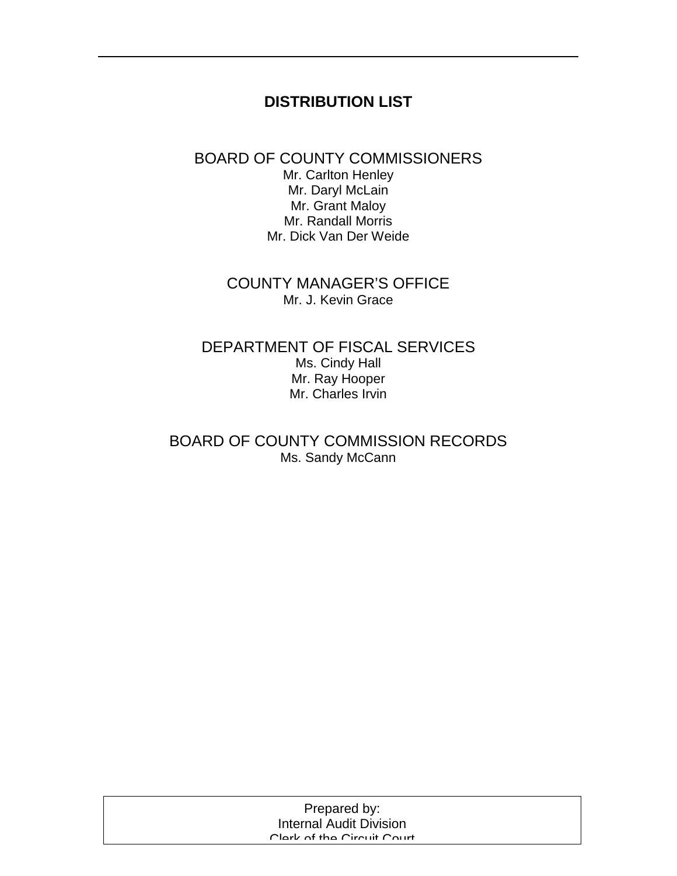# **DISTRIBUTION LIST**

# BOARD OF COUNTY COMMISSIONERS

Mr. Carlton Henley Mr. Daryl McLain Mr. Grant Maloy Mr. Randall Morris Mr. Dick Van Der Weide

# COUNTY MANAGER'S OFFICE Mr. J. Kevin Grace

#### DEPARTMENT OF FISCAL SERVICES Ms. Cindy Hall Mr. Ray Hooper Mr. Charles Irvin

# BOARD OF COUNTY COMMISSION RECORDS Ms. Sandy McCann

| Prepared by:                   |  |
|--------------------------------|--|
| <b>Internal Audit Division</b> |  |
| Clork of the Circuit Court     |  |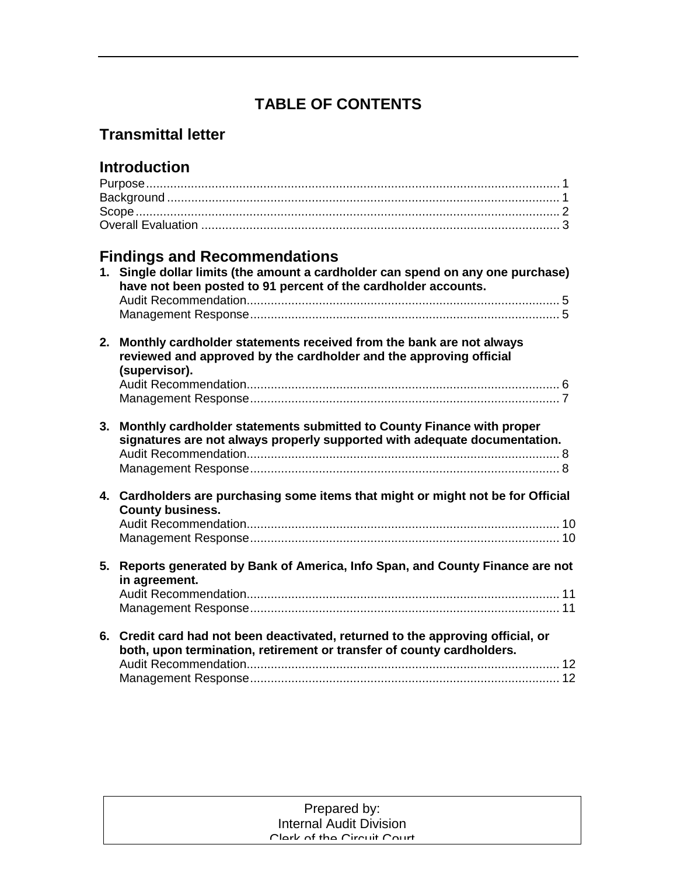# **TABLE OF CONTENTS**

# **Transmittal letter**

| <b>Introduction</b>                                                                                                                                   |  |
|-------------------------------------------------------------------------------------------------------------------------------------------------------|--|
|                                                                                                                                                       |  |
|                                                                                                                                                       |  |
|                                                                                                                                                       |  |
|                                                                                                                                                       |  |
|                                                                                                                                                       |  |
| <b>Findings and Recommendations</b>                                                                                                                   |  |
| 1. Single dollar limits (the amount a cardholder can spend on any one purchase)                                                                       |  |
| have not been posted to 91 percent of the cardholder accounts.                                                                                        |  |
|                                                                                                                                                       |  |
|                                                                                                                                                       |  |
|                                                                                                                                                       |  |
| 2. Monthly cardholder statements received from the bank are not always<br>reviewed and approved by the cardholder and the approving official          |  |
| (supervisor).                                                                                                                                         |  |
|                                                                                                                                                       |  |
|                                                                                                                                                       |  |
| 3. Monthly cardholder statements submitted to County Finance with proper<br>signatures are not always properly supported with adequate documentation. |  |
| 4. Cardholders are purchasing some items that might or might not be for Official                                                                      |  |
| <b>County business.</b>                                                                                                                               |  |
|                                                                                                                                                       |  |
|                                                                                                                                                       |  |
|                                                                                                                                                       |  |
| 5. Reports generated by Bank of America, Info Span, and County Finance are not<br>in agreement.                                                       |  |
|                                                                                                                                                       |  |
|                                                                                                                                                       |  |
|                                                                                                                                                       |  |
| 6. Credit card had not been deactivated, returned to the approving official, or                                                                       |  |
| both, upon termination, retirement or transfer of county cardholders.                                                                                 |  |
|                                                                                                                                                       |  |
|                                                                                                                                                       |  |

| Prepared by:                   |  |
|--------------------------------|--|
| <b>Internal Audit Division</b> |  |
| Clork of the Circuit Court     |  |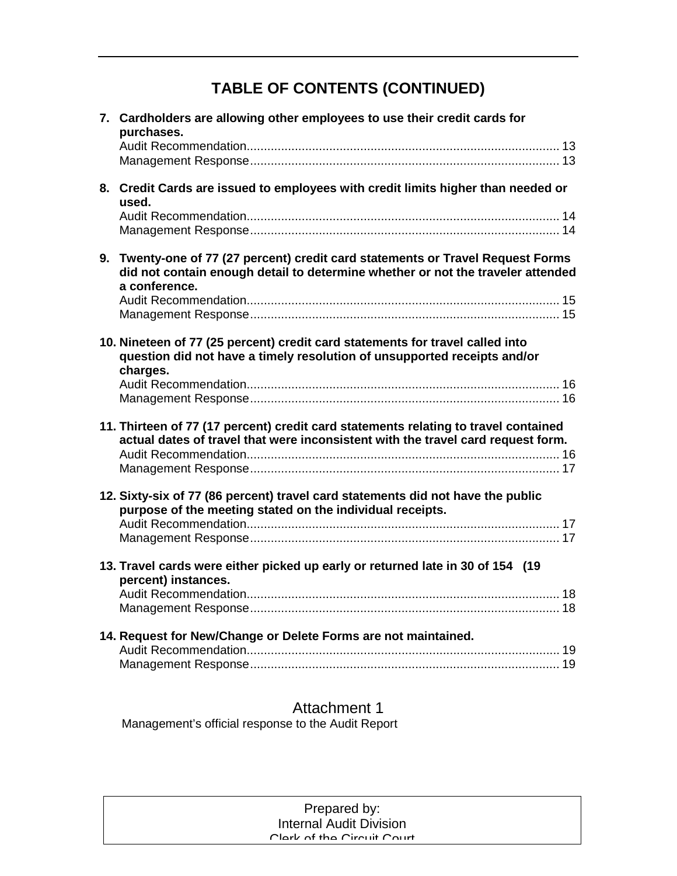# **TABLE OF CONTENTS (CONTINUED)**

| 7. Cardholders are allowing other employees to use their credit cards for<br>purchases.                                                                                             |
|-------------------------------------------------------------------------------------------------------------------------------------------------------------------------------------|
|                                                                                                                                                                                     |
| 8. Credit Cards are issued to employees with credit limits higher than needed or<br>used.                                                                                           |
|                                                                                                                                                                                     |
| 9. Twenty-one of 77 (27 percent) credit card statements or Travel Request Forms<br>did not contain enough detail to determine whether or not the traveler attended<br>a conference. |
|                                                                                                                                                                                     |
| 10. Nineteen of 77 (25 percent) credit card statements for travel called into<br>question did not have a timely resolution of unsupported receipts and/or<br>charges.               |
|                                                                                                                                                                                     |
| 11. Thirteen of 77 (17 percent) credit card statements relating to travel contained<br>actual dates of travel that were inconsistent with the travel card request form.             |
|                                                                                                                                                                                     |
| 12. Sixty-six of 77 (86 percent) travel card statements did not have the public<br>purpose of the meeting stated on the individual receipts.                                        |
| 13. Travel cards were either picked up early or returned late in 30 of 154 (19<br>percent) instances.                                                                               |
| 14. Request for New/Change or Delete Forms are not maintained.                                                                                                                      |

Attachment 1 Management's official response to the Audit Report

| Prepared by:                   |
|--------------------------------|
| <b>Internal Audit Division</b> |
| Clork of the Circuit Court     |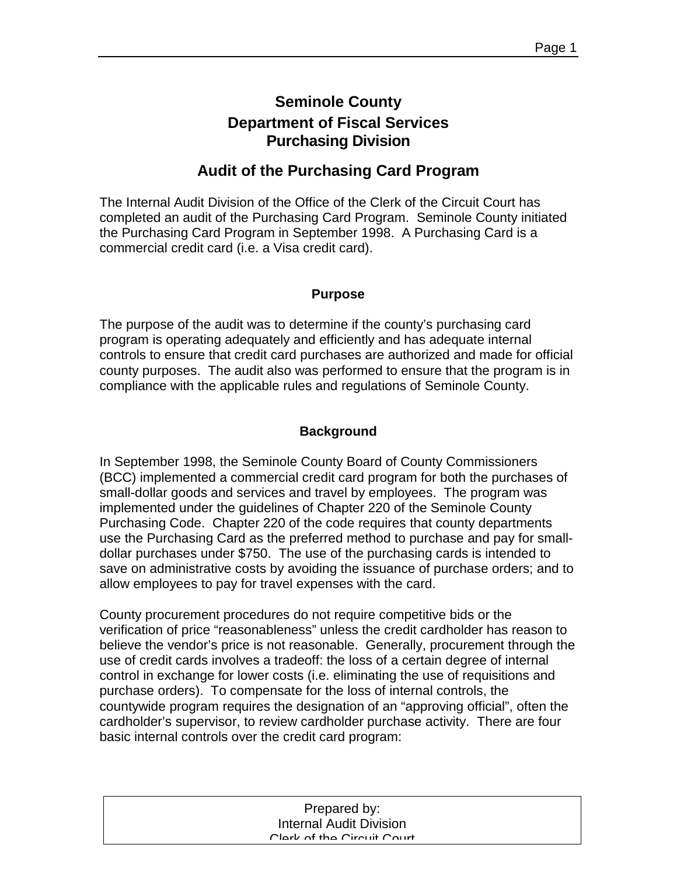# **Seminole County Department of Fiscal Services Purchasing Division**

# **Audit of the Purchasing Card Program**

The Internal Audit Division of the Office of the Clerk of the Circuit Court has completed an audit of the Purchasing Card Program. Seminole County initiated the Purchasing Card Program in September 1998. A Purchasing Card is a commercial credit card (i.e. a Visa credit card).

#### **Purpose**

The purpose of the audit was to determine if the county's purchasing card program is operating adequately and efficiently and has adequate internal controls to ensure that credit card purchases are authorized and made for official county purposes. The audit also was performed to ensure that the program is in compliance with the applicable rules and regulations of Seminole County.

#### **Background**

In September 1998, the Seminole County Board of County Commissioners (BCC) implemented a commercial credit card program for both the purchases of small-dollar goods and services and travel by employees. The program was implemented under the guidelines of Chapter 220 of the Seminole County Purchasing Code. Chapter 220 of the code requires that county departments use the Purchasing Card as the preferred method to purchase and pay for smalldollar purchases under \$750. The use of the purchasing cards is intended to save on administrative costs by avoiding the issuance of purchase orders; and to allow employees to pay for travel expenses with the card.

County procurement procedures do not require competitive bids or the verification of price "reasonableness" unless the credit cardholder has reason to believe the vendor's price is not reasonable. Generally, procurement through the use of credit cards involves a tradeoff: the loss of a certain degree of internal control in exchange for lower costs (i.e. eliminating the use of requisitions and purchase orders). To compensate for the loss of internal controls, the countywide program requires the designation of an "approving official", often the cardholder's supervisor, to review cardholder purchase activity. There are four basic internal controls over the credit card program:

| Prepared by:                   |  |
|--------------------------------|--|
| <b>Internal Audit Division</b> |  |
| Clork of the Circuit Court     |  |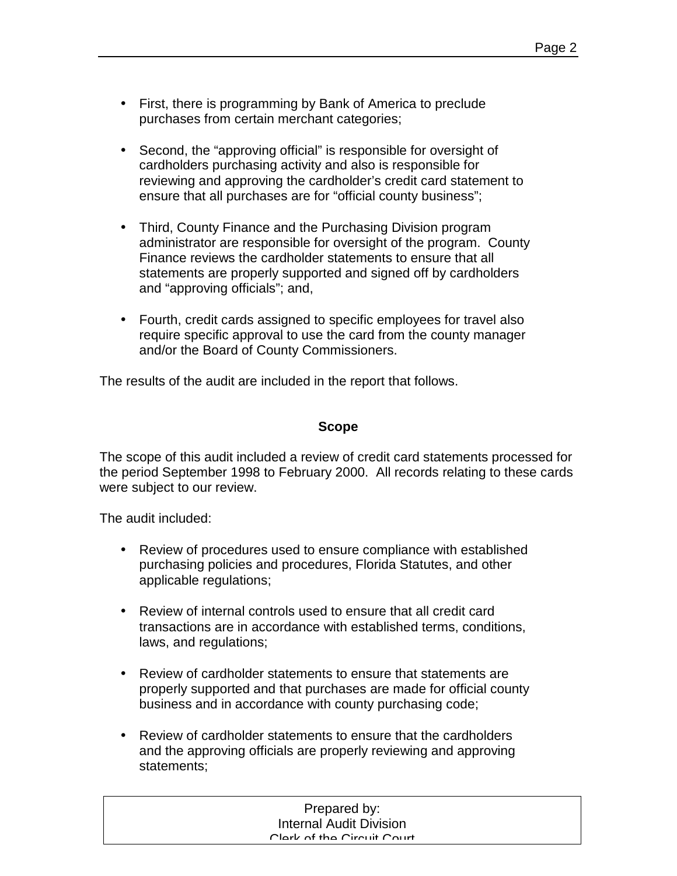- First, there is programming by Bank of America to preclude purchases from certain merchant categories;
- Second, the "approving official" is responsible for oversight of cardholders purchasing activity and also is responsible for reviewing and approving the cardholder's credit card statement to ensure that all purchases are for "official county business";
- Third, County Finance and the Purchasing Division program administrator are responsible for oversight of the program. County Finance reviews the cardholder statements to ensure that all statements are properly supported and signed off by cardholders and "approving officials"; and,
- Fourth, credit cards assigned to specific employees for travel also require specific approval to use the card from the county manager and/or the Board of County Commissioners.

The results of the audit are included in the report that follows.

#### **Scope**

The scope of this audit included a review of credit card statements processed for the period September 1998 to February 2000. All records relating to these cards were subject to our review.

The audit included:

- Review of procedures used to ensure compliance with established purchasing policies and procedures, Florida Statutes, and other applicable regulations;
- Review of internal controls used to ensure that all credit card transactions are in accordance with established terms, conditions, laws, and regulations;
- Review of cardholder statements to ensure that statements are properly supported and that purchases are made for official county business and in accordance with county purchasing code;
- Review of cardholder statements to ensure that the cardholders and the approving officials are properly reviewing and approving statements;

| Prepared by:                   |  |
|--------------------------------|--|
| <b>Internal Audit Division</b> |  |
| Clark of the Circuit Court     |  |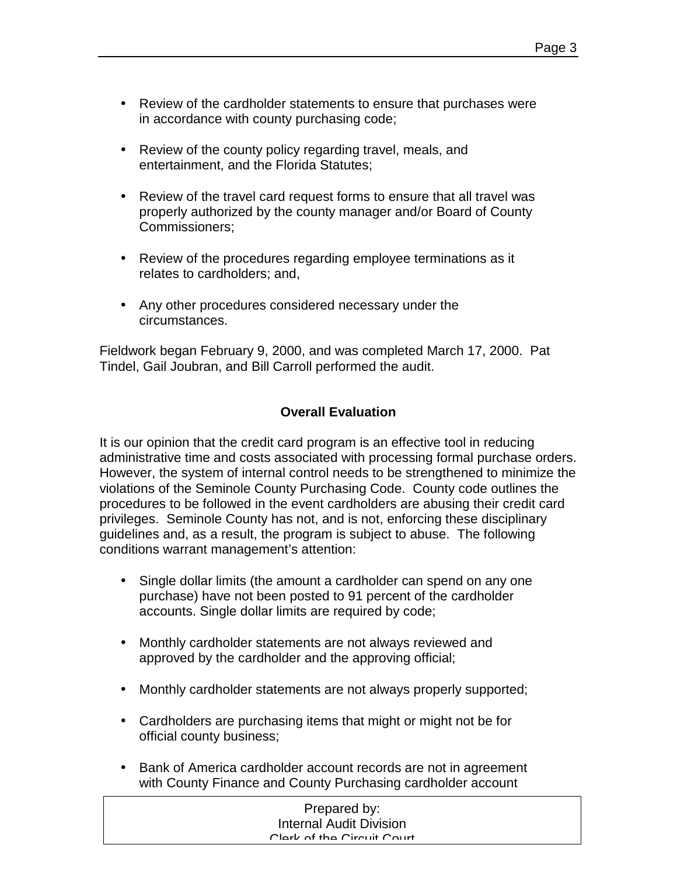- Review of the cardholder statements to ensure that purchases were in accordance with county purchasing code;
- Review of the county policy regarding travel, meals, and entertainment, and the Florida Statutes;
- Review of the travel card request forms to ensure that all travel was properly authorized by the county manager and/or Board of County Commissioners;
- Review of the procedures regarding employee terminations as it relates to cardholders; and,
- Any other procedures considered necessary under the circumstances.

Fieldwork began February 9, 2000, and was completed March 17, 2000. Pat Tindel, Gail Joubran, and Bill Carroll performed the audit.

### **Overall Evaluation**

It is our opinion that the credit card program is an effective tool in reducing administrative time and costs associated with processing formal purchase orders. However, the system of internal control needs to be strengthened to minimize the violations of the Seminole County Purchasing Code. County code outlines the procedures to be followed in the event cardholders are abusing their credit card privileges. Seminole County has not, and is not, enforcing these disciplinary guidelines and, as a result, the program is subject to abuse. The following conditions warrant management's attention:

- Single dollar limits (the amount a cardholder can spend on any one purchase) have not been posted to 91 percent of the cardholder accounts. Single dollar limits are required by code;
- Monthly cardholder statements are not always reviewed and approved by the cardholder and the approving official;
- Monthly cardholder statements are not always properly supported;
- Cardholders are purchasing items that might or might not be for official county business;
- Bank of America cardholder account records are not in agreement with County Finance and County Purchasing cardholder account

| Prepared by:                   |  |
|--------------------------------|--|
| <b>Internal Audit Division</b> |  |
| Clork of the Circuit Court     |  |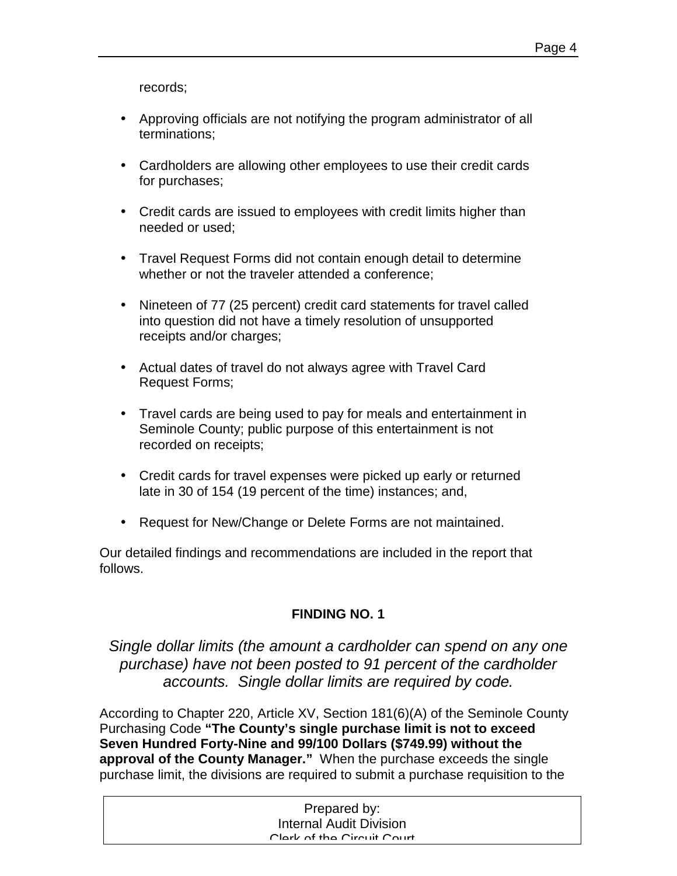records;

- Approving officials are not notifying the program administrator of all terminations;
- Cardholders are allowing other employees to use their credit cards for purchases;
- Credit cards are issued to employees with credit limits higher than needed or used;
- Travel Request Forms did not contain enough detail to determine whether or not the traveler attended a conference;
- Nineteen of 77 (25 percent) credit card statements for travel called into question did not have a timely resolution of unsupported receipts and/or charges;
- Actual dates of travel do not always agree with Travel Card Request Forms;
- Travel cards are being used to pay for meals and entertainment in Seminole County; public purpose of this entertainment is not recorded on receipts;
- Credit cards for travel expenses were picked up early or returned late in 30 of 154 (19 percent of the time) instances; and,
- Request for New/Change or Delete Forms are not maintained.

Our detailed findings and recommendations are included in the report that follows.

### **FINDING NO. 1**

*Single dollar limits (the amount a cardholder can spend on any one purchase) have not been posted to 91 percent of the cardholder accounts. Single dollar limits are required by code.* 

According to Chapter 220, Article XV, Section 181(6)(A) of the Seminole County Purchasing Code **"The County's single purchase limit is not to exceed Seven Hundred Forty-Nine and 99/100 Dollars (\$749.99) without the approval of the County Manager."** When the purchase exceeds the single purchase limit, the divisions are required to submit a purchase requisition to the

| Prepared by:                   |  |
|--------------------------------|--|
| <b>Internal Audit Division</b> |  |
| Clark of the Circuit Court     |  |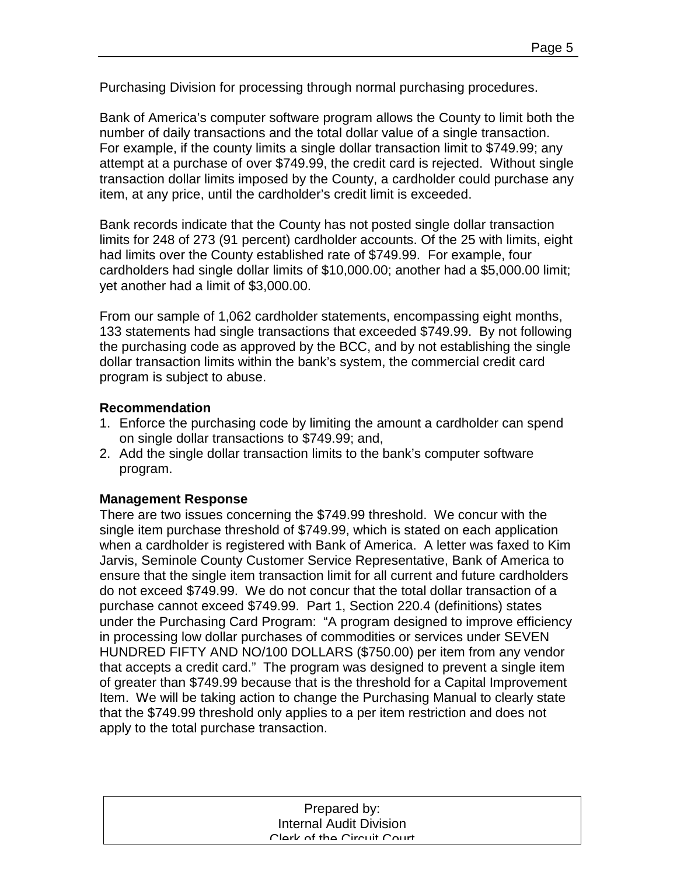Purchasing Division for processing through normal purchasing procedures.

Bank of America's computer software program allows the County to limit both the number of daily transactions and the total dollar value of a single transaction. For example, if the county limits a single dollar transaction limit to \$749.99; any attempt at a purchase of over \$749.99, the credit card is rejected. Without single transaction dollar limits imposed by the County, a cardholder could purchase any item, at any price, until the cardholder's credit limit is exceeded.

Bank records indicate that the County has not posted single dollar transaction limits for 248 of 273 (91 percent) cardholder accounts. Of the 25 with limits, eight had limits over the County established rate of \$749.99. For example, four cardholders had single dollar limits of \$10,000.00; another had a \$5,000.00 limit; yet another had a limit of \$3,000.00.

From our sample of 1,062 cardholder statements, encompassing eight months, 133 statements had single transactions that exceeded \$749.99. By not following the purchasing code as approved by the BCC, and by not establishing the single dollar transaction limits within the bank's system, the commercial credit card program is subject to abuse.

#### **Recommendation**

- 1. Enforce the purchasing code by limiting the amount a cardholder can spend on single dollar transactions to \$749.99; and,
- 2. Add the single dollar transaction limits to the bank's computer software program.

#### **Management Response**

There are two issues concerning the \$749.99 threshold. We concur with the single item purchase threshold of \$749.99, which is stated on each application when a cardholder is registered with Bank of America. A letter was faxed to Kim Jarvis, Seminole County Customer Service Representative, Bank of America to ensure that the single item transaction limit for all current and future cardholders do not exceed \$749.99. We do not concur that the total dollar transaction of a purchase cannot exceed \$749.99. Part 1, Section 220.4 (definitions) states under the Purchasing Card Program: "A program designed to improve efficiency in processing low dollar purchases of commodities or services under SEVEN HUNDRED FIFTY AND NO/100 DOLLARS (\$750.00) per item from any vendor that accepts a credit card." The program was designed to prevent a single item of greater than \$749.99 because that is the threshold for a Capital Improvement Item. We will be taking action to change the Purchasing Manual to clearly state that the \$749.99 threshold only applies to a per item restriction and does not apply to the total purchase transaction.

| Prepared by:                   |  |
|--------------------------------|--|
| <b>Internal Audit Division</b> |  |
| Clork of the Circuit Court     |  |
|                                |  |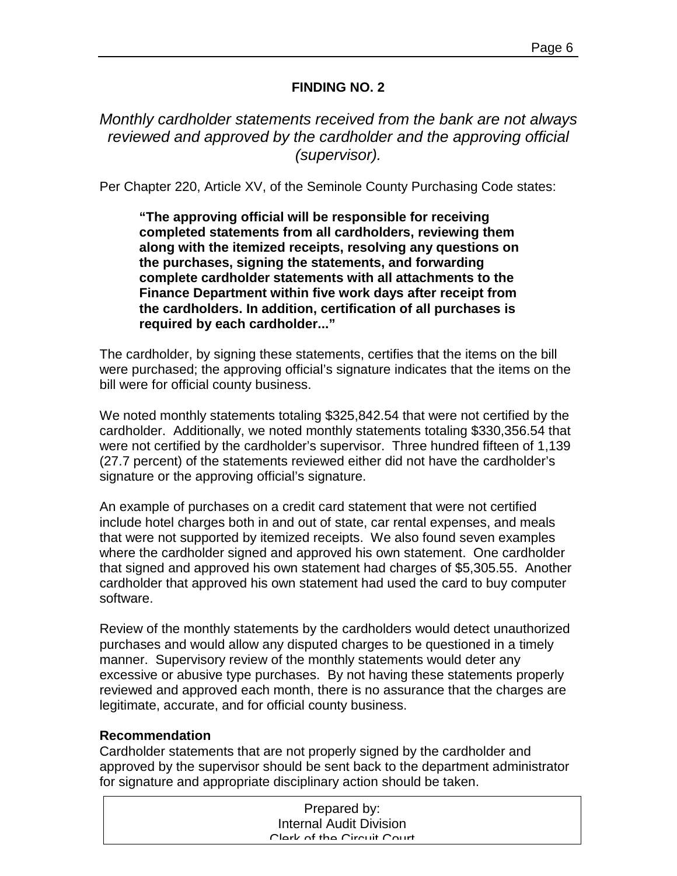#### **FINDING NO. 2**

*Monthly cardholder statements received from the bank are not always reviewed and approved by the cardholder and the approving official (supervisor).* 

Per Chapter 220, Article XV, of the Seminole County Purchasing Code states:

**"The approving official will be responsible for receiving completed statements from all cardholders, reviewing them along with the itemized receipts, resolving any questions on the purchases, signing the statements, and forwarding complete cardholder statements with all attachments to the Finance Department within five work days after receipt from the cardholders. In addition, certification of all purchases is required by each cardholder..."** 

The cardholder, by signing these statements, certifies that the items on the bill were purchased; the approving official's signature indicates that the items on the bill were for official county business.

We noted monthly statements totaling \$325,842.54 that were not certified by the cardholder. Additionally, we noted monthly statements totaling \$330,356.54 that were not certified by the cardholder's supervisor. Three hundred fifteen of 1,139 (27.7 percent) of the statements reviewed either did not have the cardholder's signature or the approving official's signature.

An example of purchases on a credit card statement that were not certified include hotel charges both in and out of state, car rental expenses, and meals that were not supported by itemized receipts. We also found seven examples where the cardholder signed and approved his own statement. One cardholder that signed and approved his own statement had charges of \$5,305.55. Another cardholder that approved his own statement had used the card to buy computer software.

Review of the monthly statements by the cardholders would detect unauthorized purchases and would allow any disputed charges to be questioned in a timely manner. Supervisory review of the monthly statements would deter any excessive or abusive type purchases. By not having these statements properly reviewed and approved each month, there is no assurance that the charges are legitimate, accurate, and for official county business.

#### **Recommendation**

Cardholder statements that are not properly signed by the cardholder and approved by the supervisor should be sent back to the department administrator for signature and appropriate disciplinary action should be taken.

| Prepared by:                   |
|--------------------------------|
| <b>Internal Audit Division</b> |
| Clork of the Circuit Court     |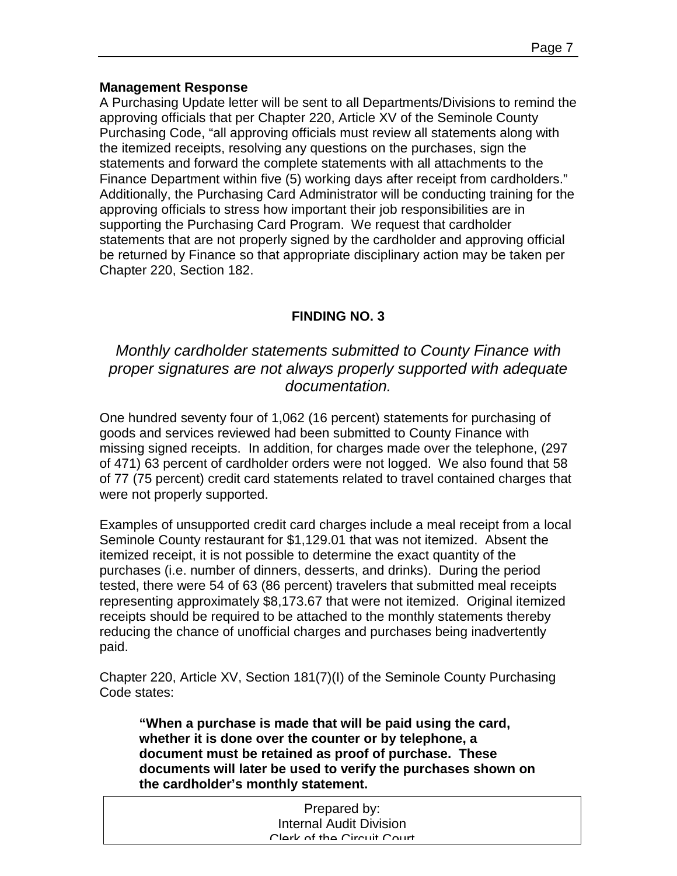#### **Management Response**

A Purchasing Update letter will be sent to all Departments/Divisions to remind the approving officials that per Chapter 220, Article XV of the Seminole County Purchasing Code, "all approving officials must review all statements along with the itemized receipts, resolving any questions on the purchases, sign the statements and forward the complete statements with all attachments to the Finance Department within five (5) working days after receipt from cardholders." Additionally, the Purchasing Card Administrator will be conducting training for the approving officials to stress how important their job responsibilities are in supporting the Purchasing Card Program. We request that cardholder statements that are not properly signed by the cardholder and approving official be returned by Finance so that appropriate disciplinary action may be taken per Chapter 220, Section 182.

### **FINDING NO. 3**

*Monthly cardholder statements submitted to County Finance with proper signatures are not always properly supported with adequate documentation.* 

One hundred seventy four of 1,062 (16 percent) statements for purchasing of goods and services reviewed had been submitted to County Finance with missing signed receipts. In addition, for charges made over the telephone, (297 of 471) 63 percent of cardholder orders were not logged. We also found that 58 of 77 (75 percent) credit card statements related to travel contained charges that were not properly supported.

Examples of unsupported credit card charges include a meal receipt from a local Seminole County restaurant for \$1,129.01 that was not itemized. Absent the itemized receipt, it is not possible to determine the exact quantity of the purchases (i.e. number of dinners, desserts, and drinks). During the period tested, there were 54 of 63 (86 percent) travelers that submitted meal receipts representing approximately \$8,173.67 that were not itemized. Original itemized receipts should be required to be attached to the monthly statements thereby reducing the chance of unofficial charges and purchases being inadvertently paid.

Chapter 220, Article XV, Section 181(7)(I) of the Seminole County Purchasing Code states:

**"When a purchase is made that will be paid using the card, whether it is done over the counter or by telephone, a document must be retained as proof of purchase. These documents will later be used to verify the purchases shown on the cardholder's monthly statement.** 

| Prepared by:                   |  |
|--------------------------------|--|
| <b>Internal Audit Division</b> |  |
| Clark of the Circuit Court     |  |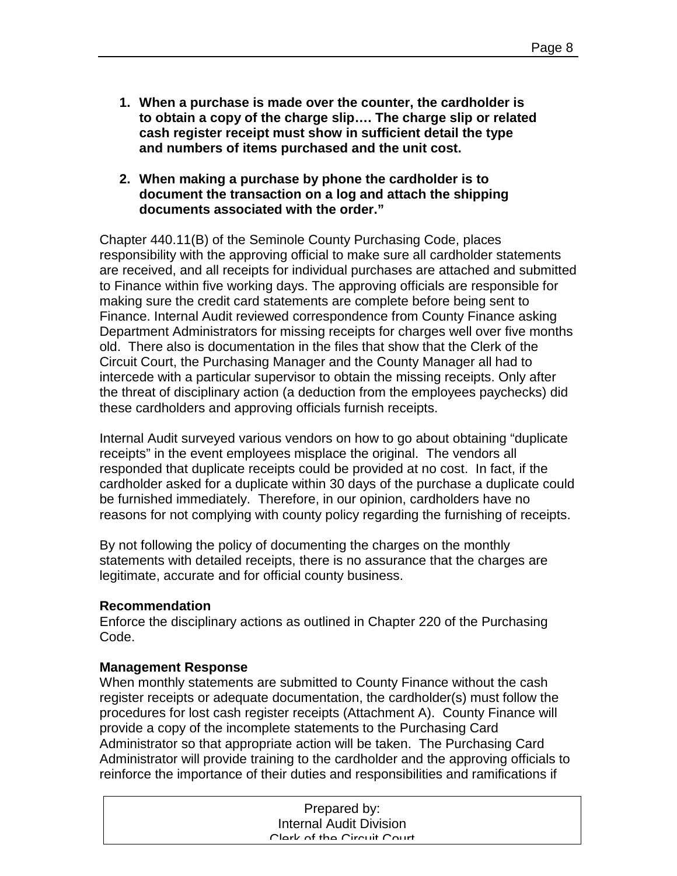- **1. When a purchase is made over the counter, the cardholder is to obtain a copy of the charge slip…. The charge slip or related cash register receipt must show in sufficient detail the type and numbers of items purchased and the unit cost.**
- **2. When making a purchase by phone the cardholder is to document the transaction on a log and attach the shipping documents associated with the order."**

Chapter 440.11(B) of the Seminole County Purchasing Code, places responsibility with the approving official to make sure all cardholder statements are received, and all receipts for individual purchases are attached and submitted to Finance within five working days. The approving officials are responsible for making sure the credit card statements are complete before being sent to Finance. Internal Audit reviewed correspondence from County Finance asking Department Administrators for missing receipts for charges well over five months old. There also is documentation in the files that show that the Clerk of the Circuit Court, the Purchasing Manager and the County Manager all had to intercede with a particular supervisor to obtain the missing receipts. Only after the threat of disciplinary action (a deduction from the employees paychecks) did these cardholders and approving officials furnish receipts.

Internal Audit surveyed various vendors on how to go about obtaining "duplicate receipts" in the event employees misplace the original. The vendors all responded that duplicate receipts could be provided at no cost. In fact, if the cardholder asked for a duplicate within 30 days of the purchase a duplicate could be furnished immediately. Therefore, in our opinion, cardholders have no reasons for not complying with county policy regarding the furnishing of receipts.

By not following the policy of documenting the charges on the monthly statements with detailed receipts, there is no assurance that the charges are legitimate, accurate and for official county business.

#### **Recommendation**

Enforce the disciplinary actions as outlined in Chapter 220 of the Purchasing Code.

#### **Management Response**

When monthly statements are submitted to County Finance without the cash register receipts or adequate documentation, the cardholder(s) must follow the procedures for lost cash register receipts (Attachment A). County Finance will provide a copy of the incomplete statements to the Purchasing Card Administrator so that appropriate action will be taken. The Purchasing Card Administrator will provide training to the cardholder and the approving officials to reinforce the importance of their duties and responsibilities and ramifications if

| Prepared by:                   |  |
|--------------------------------|--|
| <b>Internal Audit Division</b> |  |
| Clark of the Circuit Court     |  |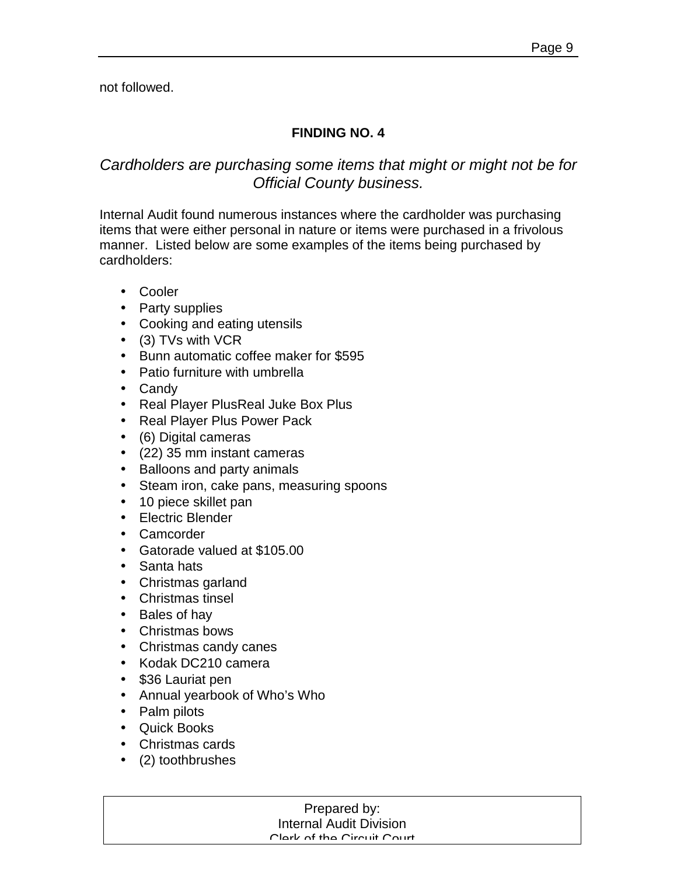not followed.

## **FINDING NO. 4**

# *Cardholders are purchasing some items that might or might not be for Official County business.*

Internal Audit found numerous instances where the cardholder was purchasing items that were either personal in nature or items were purchased in a frivolous manner. Listed below are some examples of the items being purchased by cardholders:

- Cooler
- Party supplies
- Cooking and eating utensils
- (3) TVs with VCR
- Bunn automatic coffee maker for \$595
- Patio furniture with umbrella
- Candy
- Real Player PlusReal Juke Box Plus
- Real Player Plus Power Pack
- (6) Digital cameras
- (22) 35 mm instant cameras
- Balloons and party animals
- Steam iron, cake pans, measuring spoons
- 10 piece skillet pan
- Electric Blender
- Camcorder
- Gatorade valued at \$105.00
- Santa hats
- Christmas garland
- Christmas tinsel
- Bales of hay
- Christmas bows
- Christmas candy canes
- Kodak DC210 camera
- \$36 Lauriat pen
- Annual yearbook of Who's Who
- Palm pilots
- Quick Books
- Christmas cards
- (2) toothbrushes

#### Prepared by: Prepared by: Internal Audit Division Internal Audit Division Clerk of the Circuit Court Clerk of the Circuit Court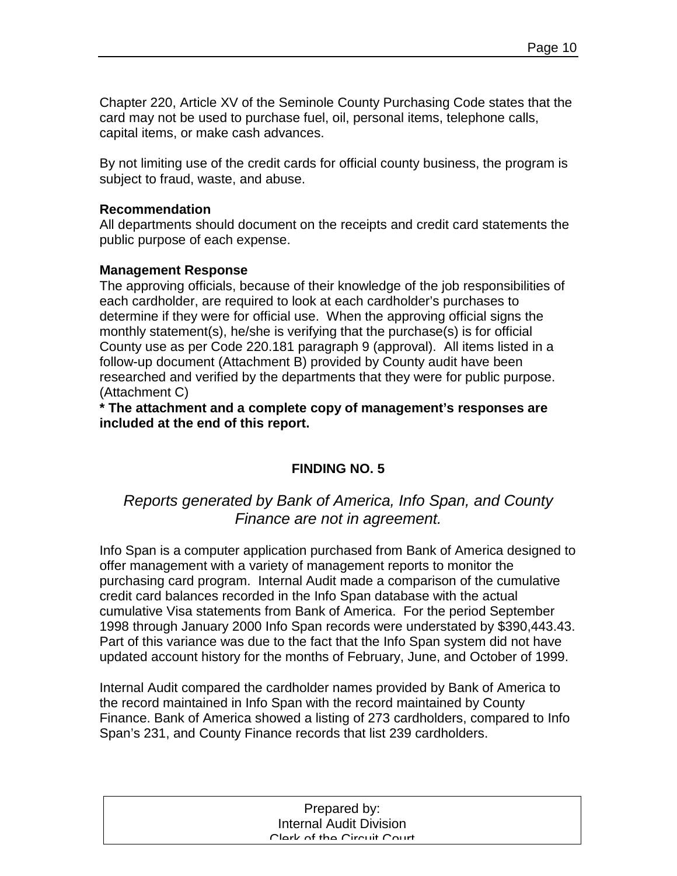Chapter 220, Article XV of the Seminole County Purchasing Code states that the card may not be used to purchase fuel, oil, personal items, telephone calls, capital items, or make cash advances.

By not limiting use of the credit cards for official county business, the program is subject to fraud, waste, and abuse.

#### **Recommendation**

All departments should document on the receipts and credit card statements the public purpose of each expense.

#### **Management Response**

The approving officials, because of their knowledge of the job responsibilities of each cardholder, are required to look at each cardholder's purchases to determine if they were for official use. When the approving official signs the monthly statement(s), he/she is verifying that the purchase(s) is for official County use as per Code 220.181 paragraph 9 (approval). All items listed in a follow-up document (Attachment B) provided by County audit have been researched and verified by the departments that they were for public purpose. (Attachment C)

**\* The attachment and a complete copy of management's responses are included at the end of this report.** 

# **FINDING NO. 5**

# *Reports generated by Bank of America, Info Span, and County Finance are not in agreement.*

Info Span is a computer application purchased from Bank of America designed to offer management with a variety of management reports to monitor the purchasing card program. Internal Audit made a comparison of the cumulative credit card balances recorded in the Info Span database with the actual cumulative Visa statements from Bank of America. For the period September 1998 through January 2000 Info Span records were understated by \$390,443.43. Part of this variance was due to the fact that the Info Span system did not have updated account history for the months of February, June, and October of 1999.

Internal Audit compared the cardholder names provided by Bank of America to the record maintained in Info Span with the record maintained by County Finance. Bank of America showed a listing of 273 cardholders, compared to Info Span's 231, and County Finance records that list 239 cardholders.

| Prepared by:                   |  |
|--------------------------------|--|
| <b>Internal Audit Division</b> |  |
| Clork of the Circuit Court     |  |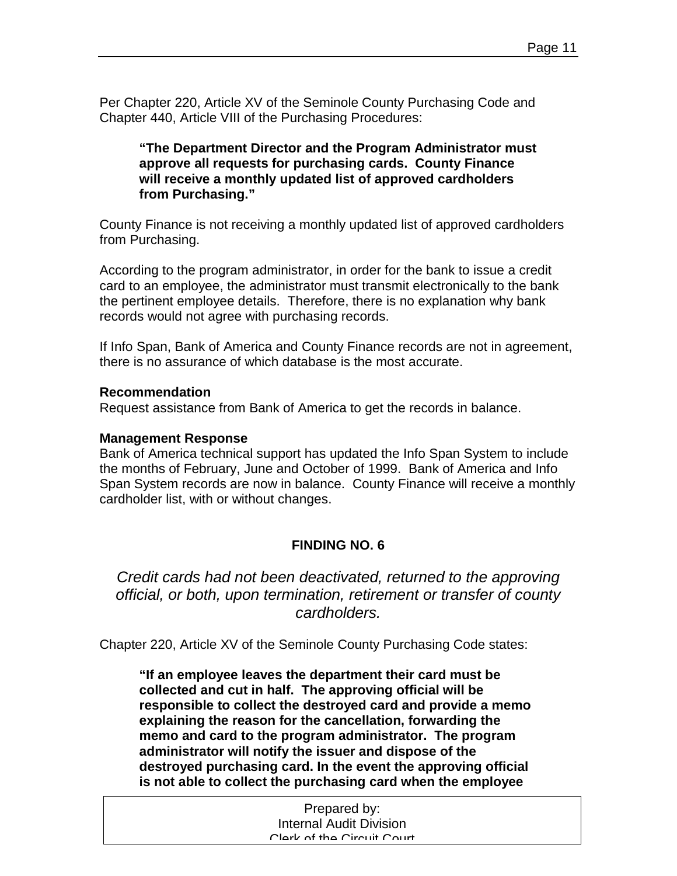Per Chapter 220, Article XV of the Seminole County Purchasing Code and Chapter 440, Article VIII of the Purchasing Procedures:

**"The Department Director and the Program Administrator must approve all requests for purchasing cards. County Finance will receive a monthly updated list of approved cardholders from Purchasing."** 

County Finance is not receiving a monthly updated list of approved cardholders from Purchasing.

According to the program administrator, in order for the bank to issue a credit card to an employee, the administrator must transmit electronically to the bank the pertinent employee details. Therefore, there is no explanation why bank records would not agree with purchasing records.

If Info Span, Bank of America and County Finance records are not in agreement, there is no assurance of which database is the most accurate.

#### **Recommendation**

Request assistance from Bank of America to get the records in balance.

#### **Management Response**

Bank of America technical support has updated the Info Span System to include the months of February, June and October of 1999. Bank of America and Info Span System records are now in balance. County Finance will receive a monthly cardholder list, with or without changes.

# **FINDING NO. 6**

*Credit cards had not been deactivated, returned to the approving official, or both, upon termination, retirement or transfer of county cardholders.* 

Chapter 220, Article XV of the Seminole County Purchasing Code states:

**"If an employee leaves the department their card must be collected and cut in half. The approving official will be responsible to collect the destroyed card and provide a memo explaining the reason for the cancellation, forwarding the memo and card to the program administrator. The program administrator will notify the issuer and dispose of the destroyed purchasing card. In the event the approving official is not able to collect the purchasing card when the employee** 

| Prepared by:               |  |
|----------------------------|--|
| Internal Audit Division    |  |
| Clork of the Circuit Court |  |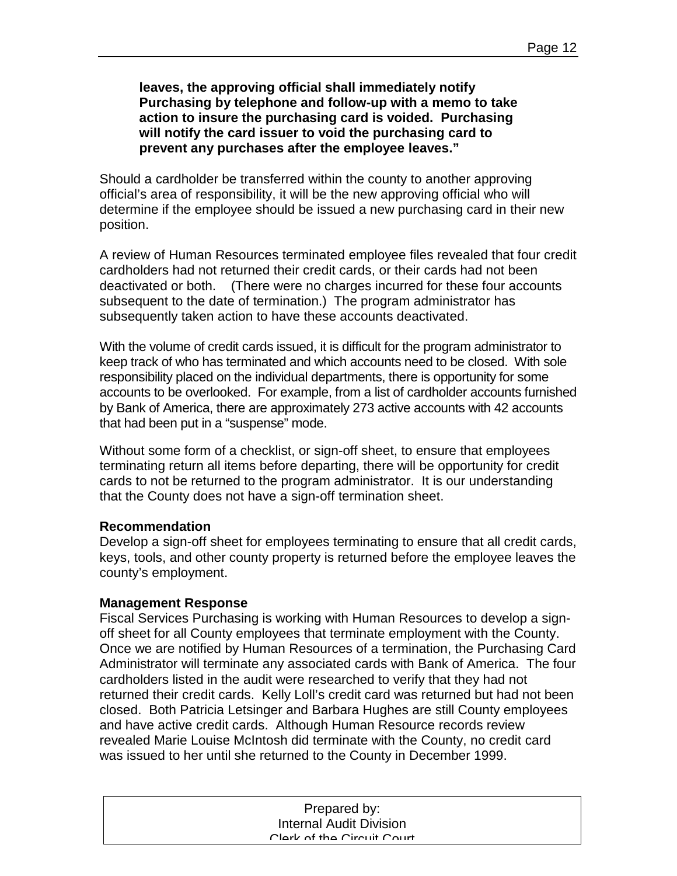**leaves, the approving official shall immediately notify Purchasing by telephone and follow-up with a memo to take action to insure the purchasing card is voided. Purchasing will notify the card issuer to void the purchasing card to prevent any purchases after the employee leaves."** 

Should a cardholder be transferred within the county to another approving official's area of responsibility, it will be the new approving official who will determine if the employee should be issued a new purchasing card in their new position.

A review of Human Resources terminated employee files revealed that four credit cardholders had not returned their credit cards, or their cards had not been deactivated or both. (There were no charges incurred for these four accounts subsequent to the date of termination.) The program administrator has subsequently taken action to have these accounts deactivated.

With the volume of credit cards issued, it is difficult for the program administrator to keep track of who has terminated and which accounts need to be closed. With sole responsibility placed on the individual departments, there is opportunity for some accounts to be overlooked. For example, from a list of cardholder accounts furnished by Bank of America, there are approximately 273 active accounts with 42 accounts that had been put in a "suspense" mode.

Without some form of a checklist, or sign-off sheet, to ensure that employees terminating return all items before departing, there will be opportunity for credit cards to not be returned to the program administrator. It is our understanding that the County does not have a sign-off termination sheet.

#### **Recommendation**

Develop a sign-off sheet for employees terminating to ensure that all credit cards, keys, tools, and other county property is returned before the employee leaves the county's employment.

#### **Management Response**

Fiscal Services Purchasing is working with Human Resources to develop a signoff sheet for all County employees that terminate employment with the County. Once we are notified by Human Resources of a termination, the Purchasing Card Administrator will terminate any associated cards with Bank of America. The four cardholders listed in the audit were researched to verify that they had not returned their credit cards. Kelly Loll's credit card was returned but had not been closed. Both Patricia Letsinger and Barbara Hughes are still County employees and have active credit cards. Although Human Resource records review revealed Marie Louise McIntosh did terminate with the County, no credit card was issued to her until she returned to the County in December 1999.

| Prepared by:                   |  |
|--------------------------------|--|
| <b>Internal Audit Division</b> |  |
| Clork of the Circuit Court     |  |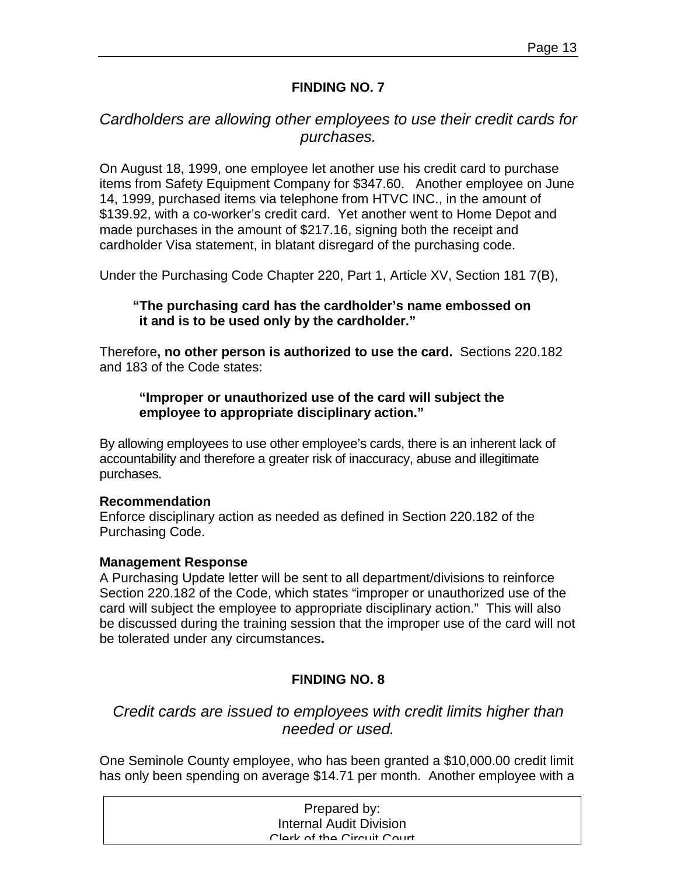#### **FINDING NO. 7**

# *Cardholders are allowing other employees to use their credit cards for purchases.*

On August 18, 1999, one employee let another use his credit card to purchase items from Safety Equipment Company for \$347.60. Another employee on June 14, 1999, purchased items via telephone from HTVC INC., in the amount of \$139.92, with a co-worker's credit card. Yet another went to Home Depot and made purchases in the amount of \$217.16, signing both the receipt and cardholder Visa statement, in blatant disregard of the purchasing code.

Under the Purchasing Code Chapter 220, Part 1, Article XV, Section 181 7(B),

#### **"The purchasing card has the cardholder's name embossed on it and is to be used only by the cardholder."**

Therefore**, no other person is authorized to use the card.** Sections 220.182 and 183 of the Code states:

#### **"Improper or unauthorized use of the card will subject the employee to appropriate disciplinary action."**

By allowing employees to use other employee's cards, there is an inherent lack of accountability and therefore a greater risk of inaccuracy, abuse and illegitimate purchases.

#### **Recommendation**

Enforce disciplinary action as needed as defined in Section 220.182 of the Purchasing Code.

#### **Management Response**

A Purchasing Update letter will be sent to all department/divisions to reinforce Section 220.182 of the Code, which states "improper or unauthorized use of the card will subject the employee to appropriate disciplinary action." This will also be discussed during the training session that the improper use of the card will not be tolerated under any circumstances**.** 

### **FINDING NO. 8**

# *Credit cards are issued to employees with credit limits higher than needed or used.*

One Seminole County employee, who has been granted a \$10,000.00 credit limit has only been spending on average \$14.71 per month. Another employee with a

| Prepared by:                   |  |
|--------------------------------|--|
| <b>Internal Audit Division</b> |  |
| Clork of the Circuit Court     |  |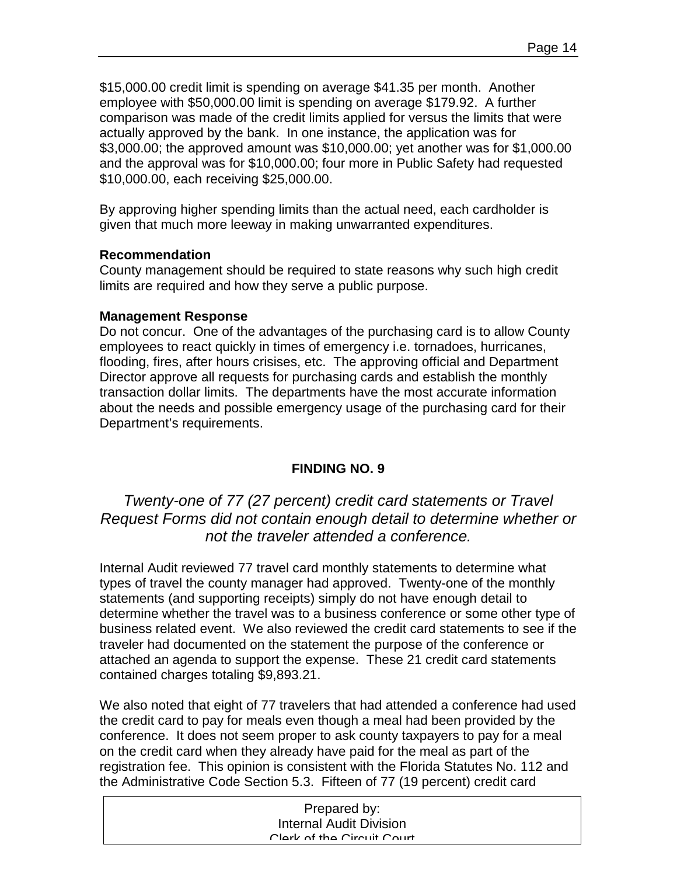\$15,000.00 credit limit is spending on average \$41.35 per month. Another employee with \$50,000.00 limit is spending on average \$179.92. A further comparison was made of the credit limits applied for versus the limits that were actually approved by the bank. In one instance, the application was for \$3,000.00; the approved amount was \$10,000.00; yet another was for \$1,000.00 and the approval was for \$10,000.00; four more in Public Safety had requested \$10,000.00, each receiving \$25,000.00.

By approving higher spending limits than the actual need, each cardholder is given that much more leeway in making unwarranted expenditures.

#### **Recommendation**

County management should be required to state reasons why such high credit limits are required and how they serve a public purpose.

#### **Management Response**

Do not concur. One of the advantages of the purchasing card is to allow County employees to react quickly in times of emergency i.e. tornadoes, hurricanes, flooding, fires, after hours crisises, etc. The approving official and Department Director approve all requests for purchasing cards and establish the monthly transaction dollar limits. The departments have the most accurate information about the needs and possible emergency usage of the purchasing card for their Department's requirements.

### **FINDING NO. 9**

*Twenty-one of 77 (27 percent) credit card statements or Travel Request Forms did not contain enough detail to determine whether or not the traveler attended a conference.* 

Internal Audit reviewed 77 travel card monthly statements to determine what types of travel the county manager had approved. Twenty-one of the monthly statements (and supporting receipts) simply do not have enough detail to determine whether the travel was to a business conference or some other type of business related event. We also reviewed the credit card statements to see if the traveler had documented on the statement the purpose of the conference or attached an agenda to support the expense. These 21 credit card statements contained charges totaling \$9,893.21.

We also noted that eight of 77 travelers that had attended a conference had used the credit card to pay for meals even though a meal had been provided by the conference. It does not seem proper to ask county taxpayers to pay for a meal on the credit card when they already have paid for the meal as part of the registration fee. This opinion is consistent with the Florida Statutes No. 112 and the Administrative Code Section 5.3. Fifteen of 77 (19 percent) credit card

| Prepared by:                   |
|--------------------------------|
| <b>Internal Audit Division</b> |
| Clark of the Circuit Court     |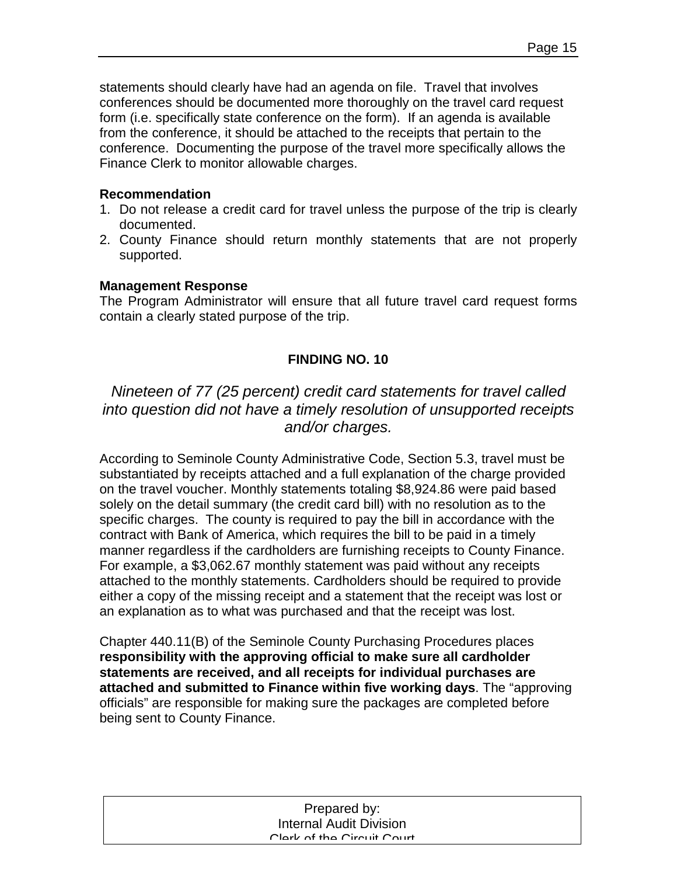statements should clearly have had an agenda on file. Travel that involves conferences should be documented more thoroughly on the travel card request form (i.e. specifically state conference on the form). If an agenda is available from the conference, it should be attached to the receipts that pertain to the conference. Documenting the purpose of the travel more specifically allows the Finance Clerk to monitor allowable charges.

#### **Recommendation**

- 1. Do not release a credit card for travel unless the purpose of the trip is clearly documented.
- 2. County Finance should return monthly statements that are not properly supported.

#### **Management Response**

The Program Administrator will ensure that all future travel card request forms contain a clearly stated purpose of the trip.

#### **FINDING NO. 10**

# *Nineteen of 77 (25 percent) credit card statements for travel called into question did not have a timely resolution of unsupported receipts and/or charges.*

According to Seminole County Administrative Code, Section 5.3, travel must be substantiated by receipts attached and a full explanation of the charge provided on the travel voucher. Monthly statements totaling \$8,924.86 were paid based solely on the detail summary (the credit card bill) with no resolution as to the specific charges. The county is required to pay the bill in accordance with the contract with Bank of America, which requires the bill to be paid in a timely manner regardless if the cardholders are furnishing receipts to County Finance. For example, a \$3,062.67 monthly statement was paid without any receipts attached to the monthly statements. Cardholders should be required to provide either a copy of the missing receipt and a statement that the receipt was lost or an explanation as to what was purchased and that the receipt was lost.

Chapter 440.11(B) of the Seminole County Purchasing Procedures places **responsibility with the approving official to make sure all cardholder statements are received, and all receipts for individual purchases are attached and submitted to Finance within five working days**. The "approving officials" are responsible for making sure the packages are completed before being sent to County Finance.

| Prepared by:                   |  |
|--------------------------------|--|
| <b>Internal Audit Division</b> |  |
| Clork of the Circuit Court     |  |
|                                |  |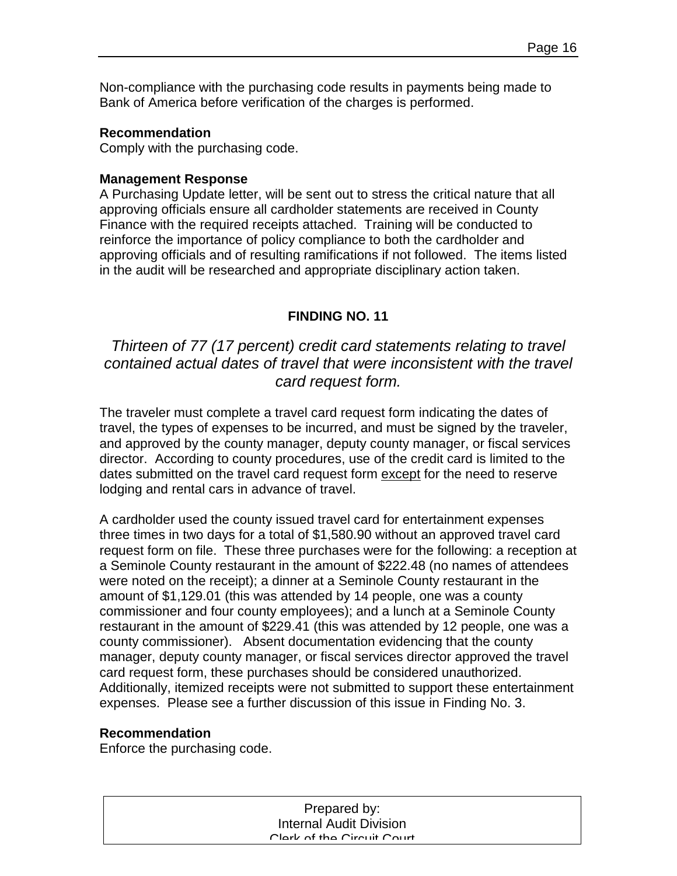Non-compliance with the purchasing code results in payments being made to Bank of America before verification of the charges is performed.

#### **Recommendation**

Comply with the purchasing code.

#### **Management Response**

A Purchasing Update letter, will be sent out to stress the critical nature that all approving officials ensure all cardholder statements are received in County Finance with the required receipts attached. Training will be conducted to reinforce the importance of policy compliance to both the cardholder and approving officials and of resulting ramifications if not followed. The items listed in the audit will be researched and appropriate disciplinary action taken.

#### **FINDING NO. 11**

# *Thirteen of 77 (17 percent) credit card statements relating to travel contained actual dates of travel that were inconsistent with the travel card request form.*

The traveler must complete a travel card request form indicating the dates of travel, the types of expenses to be incurred, and must be signed by the traveler, and approved by the county manager, deputy county manager, or fiscal services director. According to county procedures, use of the credit card is limited to the dates submitted on the travel card request form except for the need to reserve lodging and rental cars in advance of travel.

A cardholder used the county issued travel card for entertainment expenses three times in two days for a total of \$1,580.90 without an approved travel card request form on file. These three purchases were for the following: a reception at a Seminole County restaurant in the amount of \$222.48 (no names of attendees were noted on the receipt); a dinner at a Seminole County restaurant in the amount of \$1,129.01 (this was attended by 14 people, one was a county commissioner and four county employees); and a lunch at a Seminole County restaurant in the amount of \$229.41 (this was attended by 12 people, one was a county commissioner). Absent documentation evidencing that the county manager, deputy county manager, or fiscal services director approved the travel card request form, these purchases should be considered unauthorized. Additionally, itemized receipts were not submitted to support these entertainment expenses. Please see a further discussion of this issue in Finding No. 3.

#### **Recommendation**

Enforce the purchasing code.

Prepared by: Prepared by: Internal Audit Division Internal Audit Division Clerk of the Circuit Court Clerk of the Circuit Court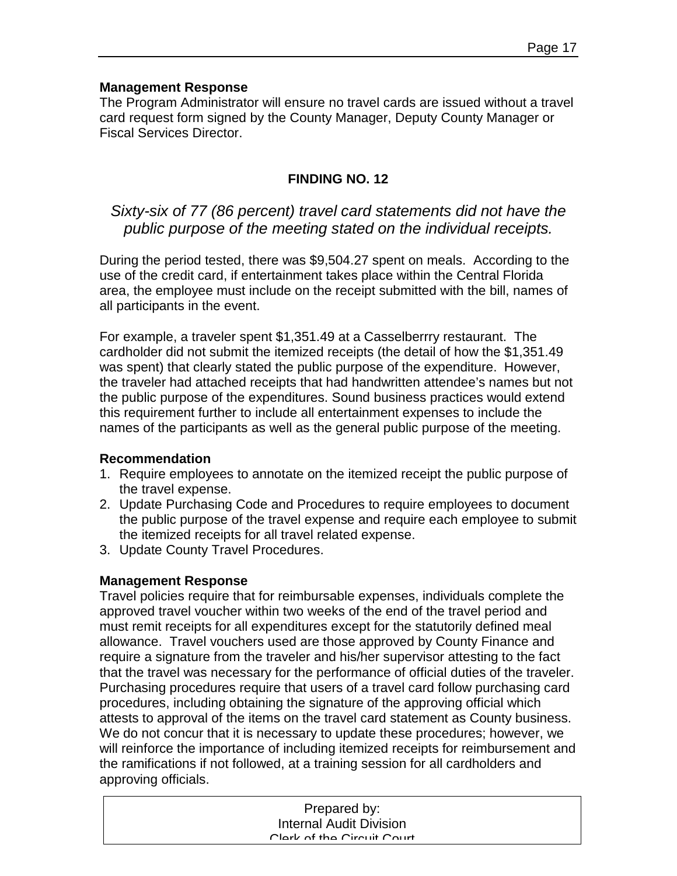#### **Management Response**

The Program Administrator will ensure no travel cards are issued without a travel card request form signed by the County Manager, Deputy County Manager or Fiscal Services Director.

## **FINDING NO. 12**

# *Sixty-six of 77 (86 percent) travel card statements did not have the public purpose of the meeting stated on the individual receipts.*

During the period tested, there was \$9,504.27 spent on meals. According to the use of the credit card, if entertainment takes place within the Central Florida area, the employee must include on the receipt submitted with the bill, names of all participants in the event.

For example, a traveler spent \$1,351.49 at a Casselberrry restaurant. The cardholder did not submit the itemized receipts (the detail of how the \$1,351.49 was spent) that clearly stated the public purpose of the expenditure. However, the traveler had attached receipts that had handwritten attendee's names but not the public purpose of the expenditures. Sound business practices would extend this requirement further to include all entertainment expenses to include the names of the participants as well as the general public purpose of the meeting.

#### **Recommendation**

- 1. Require employees to annotate on the itemized receipt the public purpose of the travel expense.
- 2. Update Purchasing Code and Procedures to require employees to document the public purpose of the travel expense and require each employee to submit the itemized receipts for all travel related expense.
- 3. Update County Travel Procedures.

### **Management Response**

Travel policies require that for reimbursable expenses, individuals complete the approved travel voucher within two weeks of the end of the travel period and must remit receipts for all expenditures except for the statutorily defined meal allowance. Travel vouchers used are those approved by County Finance and require a signature from the traveler and his/her supervisor attesting to the fact that the travel was necessary for the performance of official duties of the traveler. Purchasing procedures require that users of a travel card follow purchasing card procedures, including obtaining the signature of the approving official which attests to approval of the items on the travel card statement as County business. We do not concur that it is necessary to update these procedures; however, we will reinforce the importance of including itemized receipts for reimbursement and the ramifications if not followed, at a training session for all cardholders and approving officials.

| Prepared by:               |
|----------------------------|
| Internal Audit Division    |
| Clark of the Circuit Court |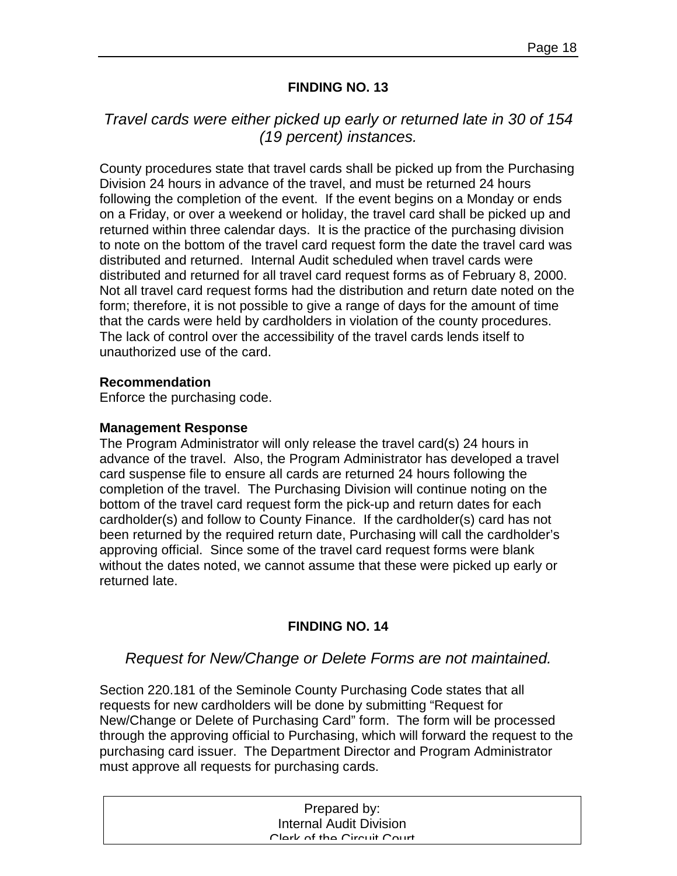#### **FINDING NO. 13**

# *Travel cards were either picked up early or returned late in 30 of 154 (19 percent) instances.*

County procedures state that travel cards shall be picked up from the Purchasing Division 24 hours in advance of the travel, and must be returned 24 hours following the completion of the event. If the event begins on a Monday or ends on a Friday, or over a weekend or holiday, the travel card shall be picked up and returned within three calendar days. It is the practice of the purchasing division to note on the bottom of the travel card request form the date the travel card was distributed and returned. Internal Audit scheduled when travel cards were distributed and returned for all travel card request forms as of February 8, 2000. Not all travel card request forms had the distribution and return date noted on the form; therefore, it is not possible to give a range of days for the amount of time that the cards were held by cardholders in violation of the county procedures. The lack of control over the accessibility of the travel cards lends itself to unauthorized use of the card.

#### **Recommendation**

Enforce the purchasing code.

#### **Management Response**

The Program Administrator will only release the travel card(s) 24 hours in advance of the travel. Also, the Program Administrator has developed a travel card suspense file to ensure all cards are returned 24 hours following the completion of the travel. The Purchasing Division will continue noting on the bottom of the travel card request form the pick-up and return dates for each cardholder(s) and follow to County Finance. If the cardholder(s) card has not been returned by the required return date, Purchasing will call the cardholder's approving official. Since some of the travel card request forms were blank without the dates noted, we cannot assume that these were picked up early or returned late.

#### **FINDING NO. 14**

### *Request for New/Change or Delete Forms are not maintained.*

Section 220.181 of the Seminole County Purchasing Code states that all requests for new cardholders will be done by submitting "Request for New/Change or Delete of Purchasing Card" form. The form will be processed through the approving official to Purchasing, which will forward the request to the purchasing card issuer. The Department Director and Program Administrator must approve all requests for purchasing cards.

| Prepared by:                   |  |
|--------------------------------|--|
| <b>Internal Audit Division</b> |  |
| Clork of the Circuit Court     |  |